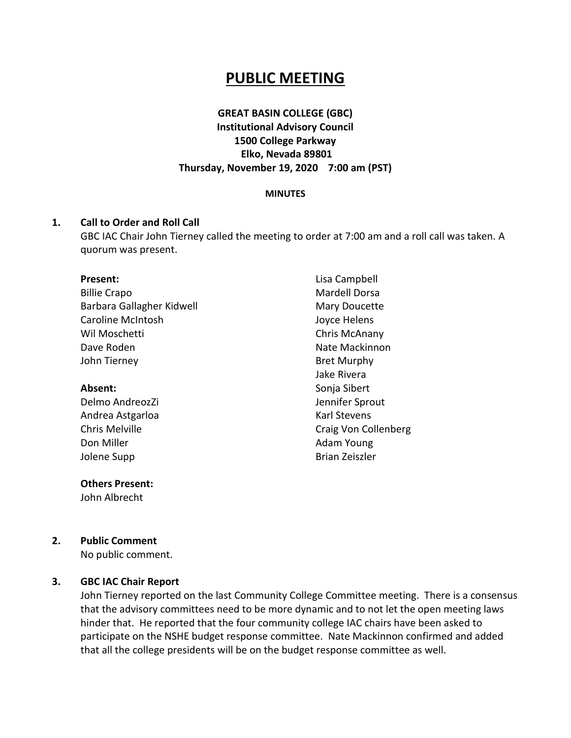# **PUBLIC MEETING**

# **GREAT BASIN COLLEGE (GBC) Institutional Advisory Council 1500 College Parkway Elko, Nevada 89801 Thursday, November 19, 2020 7:00 am (PST)**

#### **MINUTES**

#### **1. Call to Order and Roll Call**

GBC IAC Chair John Tierney called the meeting to order at 7:00 am and a roll call was taken. A quorum was present.

#### **Present:**

| <b>Billie Crapo</b>       |
|---------------------------|
| Barbara Gallagher Kidwell |
| Caroline McIntosh         |
| Wil Moschetti             |
| Dave Roden                |
| John Tierney              |

#### **Absent:**

Delmo AndreozZi Andrea Astgarloa Chris Melville Don Miller Jolene Supp

#### **Others Present:**

John Albrecht

Lisa Campbell Mardell Dorsa Mary Doucette Joyce Helens Chris McAnany Nate Mackinnon Bret Murphy Jake Rivera Sonja Sibert Jennifer Sprout Karl Stevens Craig Von Collenberg Adam Young Brian Zeiszler

### **2. Public Comment**

No public comment.

#### **3. GBC IAC Chair Report**

John Tierney reported on the last Community College Committee meeting. There is a consensus that the advisory committees need to be more dynamic and to not let the open meeting laws hinder that. He reported that the four community college IAC chairs have been asked to participate on the NSHE budget response committee. Nate Mackinnon confirmed and added that all the college presidents will be on the budget response committee as well.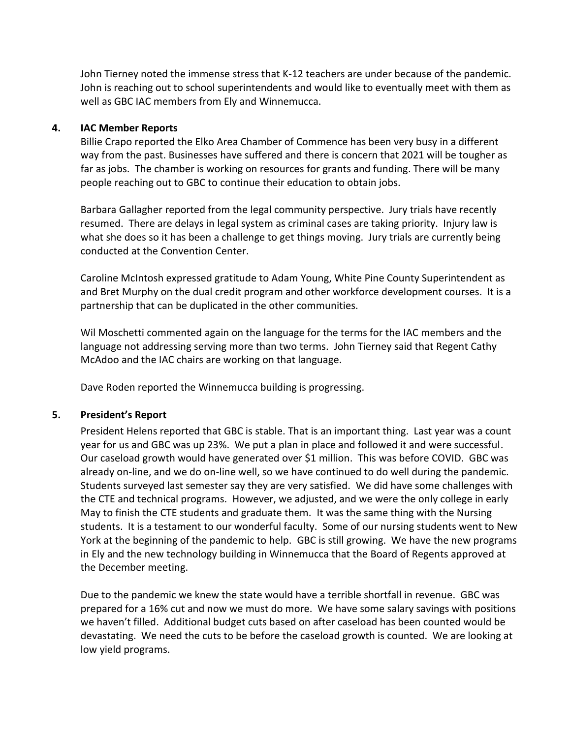John Tierney noted the immense stress that K-12 teachers are under because of the pandemic. John is reaching out to school superintendents and would like to eventually meet with them as well as GBC IAC members from Ely and Winnemucca.

### **4. IAC Member Reports**

Billie Crapo reported the Elko Area Chamber of Commence has been very busy in a different way from the past. Businesses have suffered and there is concern that 2021 will be tougher as far as jobs. The chamber is working on resources for grants and funding. There will be many people reaching out to GBC to continue their education to obtain jobs.

Barbara Gallagher reported from the legal community perspective. Jury trials have recently resumed. There are delays in legal system as criminal cases are taking priority. Injury law is what she does so it has been a challenge to get things moving. Jury trials are currently being conducted at the Convention Center.

Caroline McIntosh expressed gratitude to Adam Young, White Pine County Superintendent as and Bret Murphy on the dual credit program and other workforce development courses. It is a partnership that can be duplicated in the other communities.

Wil Moschetti commented again on the language for the terms for the IAC members and the language not addressing serving more than two terms. John Tierney said that Regent Cathy McAdoo and the IAC chairs are working on that language.

Dave Roden reported the Winnemucca building is progressing.

# **5. President's Report**

President Helens reported that GBC is stable. That is an important thing. Last year was a count year for us and GBC was up 23%. We put a plan in place and followed it and were successful. Our caseload growth would have generated over \$1 million. This was before COVID. GBC was already on-line, and we do on-line well, so we have continued to do well during the pandemic. Students surveyed last semester say they are very satisfied. We did have some challenges with the CTE and technical programs. However, we adjusted, and we were the only college in early May to finish the CTE students and graduate them. It was the same thing with the Nursing students. It is a testament to our wonderful faculty. Some of our nursing students went to New York at the beginning of the pandemic to help. GBC is still growing. We have the new programs in Ely and the new technology building in Winnemucca that the Board of Regents approved at the December meeting.

Due to the pandemic we knew the state would have a terrible shortfall in revenue. GBC was prepared for a 16% cut and now we must do more. We have some salary savings with positions we haven't filled. Additional budget cuts based on after caseload has been counted would be devastating. We need the cuts to be before the caseload growth is counted. We are looking at low yield programs.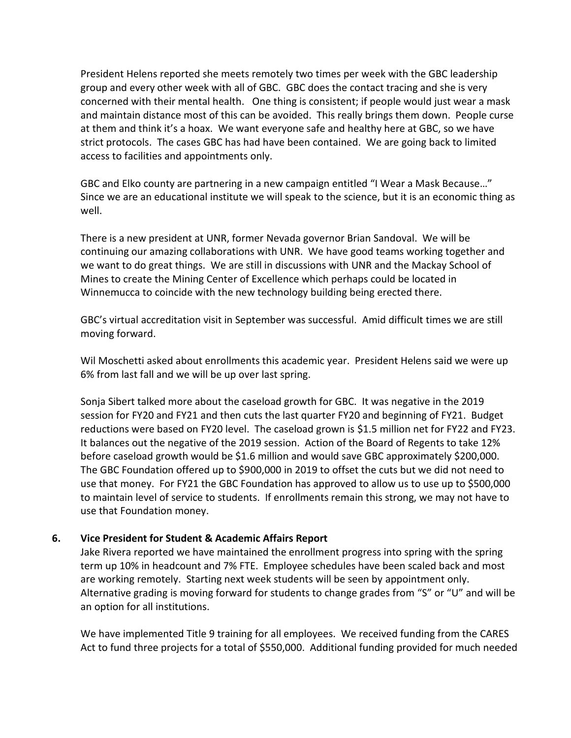President Helens reported she meets remotely two times per week with the GBC leadership group and every other week with all of GBC. GBC does the contact tracing and she is very concerned with their mental health. One thing is consistent; if people would just wear a mask and maintain distance most of this can be avoided. This really brings them down. People curse at them and think it's a hoax. We want everyone safe and healthy here at GBC, so we have strict protocols. The cases GBC has had have been contained. We are going back to limited access to facilities and appointments only.

GBC and Elko county are partnering in a new campaign entitled "I Wear a Mask Because…" Since we are an educational institute we will speak to the science, but it is an economic thing as well.

There is a new president at UNR, former Nevada governor Brian Sandoval. We will be continuing our amazing collaborations with UNR. We have good teams working together and we want to do great things. We are still in discussions with UNR and the Mackay School of Mines to create the Mining Center of Excellence which perhaps could be located in Winnemucca to coincide with the new technology building being erected there.

GBC's virtual accreditation visit in September was successful. Amid difficult times we are still moving forward.

Wil Moschetti asked about enrollments this academic year. President Helens said we were up 6% from last fall and we will be up over last spring.

Sonja Sibert talked more about the caseload growth for GBC. It was negative in the 2019 session for FY20 and FY21 and then cuts the last quarter FY20 and beginning of FY21. Budget reductions were based on FY20 level. The caseload grown is \$1.5 million net for FY22 and FY23. It balances out the negative of the 2019 session. Action of the Board of Regents to take 12% before caseload growth would be \$1.6 million and would save GBC approximately \$200,000. The GBC Foundation offered up to \$900,000 in 2019 to offset the cuts but we did not need to use that money. For FY21 the GBC Foundation has approved to allow us to use up to \$500,000 to maintain level of service to students. If enrollments remain this strong, we may not have to use that Foundation money.

# **6. Vice President for Student & Academic Affairs Report**

Jake Rivera reported we have maintained the enrollment progress into spring with the spring term up 10% in headcount and 7% FTE. Employee schedules have been scaled back and most are working remotely. Starting next week students will be seen by appointment only. Alternative grading is moving forward for students to change grades from "S" or "U" and will be an option for all institutions.

We have implemented Title 9 training for all employees. We received funding from the CARES Act to fund three projects for a total of \$550,000. Additional funding provided for much needed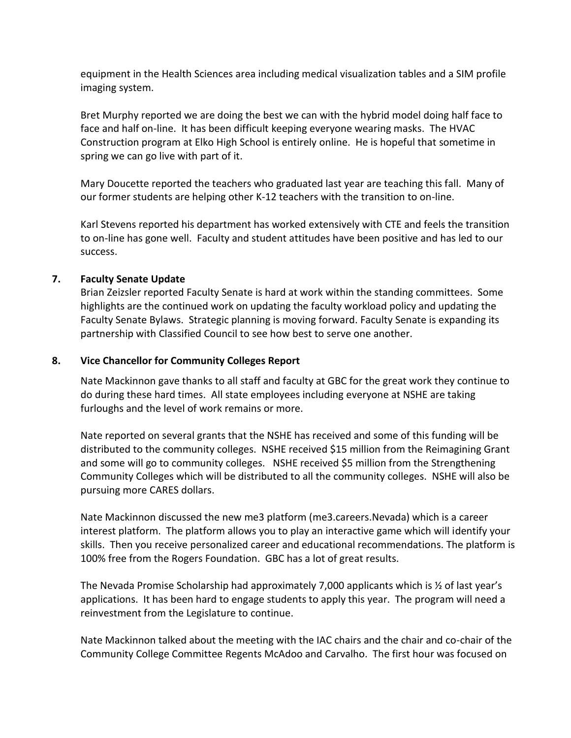equipment in the Health Sciences area including medical visualization tables and a SIM profile imaging system.

Bret Murphy reported we are doing the best we can with the hybrid model doing half face to face and half on-line. It has been difficult keeping everyone wearing masks. The HVAC Construction program at Elko High School is entirely online. He is hopeful that sometime in spring we can go live with part of it.

Mary Doucette reported the teachers who graduated last year are teaching this fall. Many of our former students are helping other K-12 teachers with the transition to on-line.

Karl Stevens reported his department has worked extensively with CTE and feels the transition to on-line has gone well. Faculty and student attitudes have been positive and has led to our success.

### **7. Faculty Senate Update**

Brian Zeizsler reported Faculty Senate is hard at work within the standing committees. Some highlights are the continued work on updating the faculty workload policy and updating the Faculty Senate Bylaws. Strategic planning is moving forward. Faculty Senate is expanding its partnership with Classified Council to see how best to serve one another.

### **8. Vice Chancellor for Community Colleges Report**

Nate Mackinnon gave thanks to all staff and faculty at GBC for the great work they continue to do during these hard times. All state employees including everyone at NSHE are taking furloughs and the level of work remains or more.

Nate reported on several grants that the NSHE has received and some of this funding will be distributed to the community colleges. NSHE received \$15 million from the Reimagining Grant and some will go to community colleges. NSHE received \$5 million from the Strengthening Community Colleges which will be distributed to all the community colleges. NSHE will also be pursuing more CARES dollars.

Nate Mackinnon discussed the new me3 platform (me3.careers.Nevada) which is a career interest platform. The platform allows you to play an interactive game which will identify your skills. Then you receive personalized career and educational recommendations. The platform is 100% free from the Rogers Foundation. GBC has a lot of great results.

The Nevada Promise Scholarship had approximately 7,000 applicants which is ½ of last year's applications. It has been hard to engage students to apply this year. The program will need a reinvestment from the Legislature to continue.

Nate Mackinnon talked about the meeting with the IAC chairs and the chair and co-chair of the Community College Committee Regents McAdoo and Carvalho. The first hour was focused on